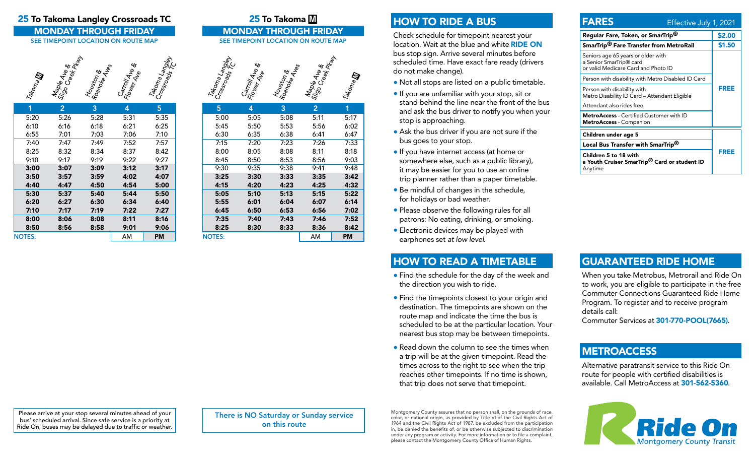#### 25 To Takoma Langley Crossroads TC 25 To Takoma M

MONDAY THROUGH FRIDAY MONDAY THROUGH FRIDAY<br>
SEE TIMEPOINT LOCATION ON ROUTE MAP

# Takoma Maple Ave & Richards Teley<br>Sigole Ave Richards<br>Houston & Aves<br>Coloma Langley<br>Coloma Langley

| 1             | $\overline{2}$ | 3    | 4    | 5    |
|---------------|----------------|------|------|------|
| 5:20          | 5:26           | 5:28 | 5:31 | 5:35 |
| 6:10          | 6:16           | 6:18 | 6:21 | 6:25 |
| 6:55          | 7:01           | 7:03 | 7:06 | 7:10 |
| 7:40          | 7:47           | 7:49 | 7:52 | 7:57 |
| 8:25          | 8:32           | 8:34 | 8:37 | 8:42 |
| 9:10          | 9:17           | 9:19 | 9:22 | 9:27 |
| 3:00          | 3:07           | 3:09 | 3:12 | 3:17 |
| 3:50          | 3:57           | 3:59 | 4:02 | 4:07 |
| 4:40          | 4:47           | 4:50 | 4:54 | 5:00 |
| 5:30          | 5:37           | 5:40 | 5:44 | 5:50 |
| 6:20          | 6:27           | 6:30 | 6:34 | 6:40 |
| 7:10          | 7:17           | 7:19 | 7:22 | 7:27 |
| 8:00          | 8:06           | 8:08 | 8:11 | 8:16 |
| 8:50          | 8:56           | 8:58 | 9:01 | 9:06 |
| <b>NOTES:</b> |                |      | AM   | PM   |

# SEE TIMEPOINT LOCATION ON ROUTE MAP



| 5             | 4    | 3    | $\overline{2}$ | 1    |
|---------------|------|------|----------------|------|
| 5:00          | 5:05 | 5:08 | 5:11           | 5:17 |
| 5:45          | 5:50 | 5:53 | 5:56           | 6:02 |
| 6:30          | 6:35 | 6:38 | 6:41           | 6:47 |
| 7:15          | 7:20 | 7:23 | 7:26           | 7:33 |
| 8:00          | 8:05 | 8:08 | 8:11           | 8:18 |
| 8:45          | 8:50 | 8:53 | 8:56           | 9:03 |
| 9:30          | 9:35 | 9:38 | 9:41           | 9:48 |
| 3:25          | 3:30 | 3:33 | 3:35           | 3:42 |
| 4:15          | 4:20 | 4:23 | 4:25           | 4:32 |
| 5:05          | 5:10 | 5:13 | 5:15           | 5:22 |
| 5:55          | 6:01 | 6:04 | 6:07           | 6:14 |
| 6:45          | 6:50 | 6:53 | 6:56           | 7:02 |
| 7:35          | 7:40 | 7:43 | 7:46           | 7:52 |
| 8:25          | 8:30 | 8:33 | 8:36           | 8:42 |
| <b>NOTES:</b> |      |      | AM             | PM   |

### HOW TO RIDE A BUS

Check schedule for timepoint nearest your location. Wait at the blue and white RIDE ON bus stop sign. Arrive several minutes before scheduled time. Have exact fare ready (drivers do not make change).

- Not all stops are listed on a public timetable.
- If you are unfamiliar with your stop, sit or stand behind the line near the front of the bus and ask the bus driver to notify you when your stop is approaching.
- Ask the bus driver if you are not sure if the bus goes to your stop.
- If you have internet access (at home or somewhere else, such as a public library), it may be easier for you to use an online trip planner rather than a paper timetable.
- Be mindful of changes in the schedule, for holidays or bad weather.
- Please observe the following rules for all patrons: No eating, drinking, or smoking.
- Electronic devices may be played with earphones set *at low level*.

# HOW TO READ A TIMETABLE

- Find the schedule for the day of the week and the direction you wish to ride.
- Find the timepoints closest to your origin and destination. The timepoints are shown on the route map and indicate the time the bus is scheduled to be at the particular location. Your nearest bus stop may be between timepoints.
- Read down the column to see the times when a trip will be at the given timepoint. Read the times across to the right to see when the trip reaches other timepoints. If no time is shown, that trip does not serve that timepoint.

#### FARES Effective July 1, 2021 Regular Fare, Token, or SmarTrip<sup>®</sup> \$2.00 SmarTrip<sup>®</sup> Fare Transfer from MetroRail \$1.50 Seniors age 65 years or older with a Senior SmarTrip® card or valid Medicare Card and Photo ID FREE Person with disability with Metro Disabled ID Card Person with disability with Metro Disability ID Card – Attendant Eligible Attendant also rides free. MetroAccess - Certified Customer with ID MetroAccess - Companion Children under age 5 FREE Local Bus Transfer with SmarTrip® Children 5 to 18 with

a Youth Cruiser SmarTrip® Card or student ID Anytime

# GUARANTEED RIDE HOME

When you take Metrobus, Metrorail and Ride On to work, you are eligible to participate in the free Commuter Connections Guaranteed Ride Home Program. To register and to receive program details call:

Commuter Services at 301-770-POOL(7665).

#### **METROACCESS**

Alternative paratransit service to this Ride On route for people with certified disabilities is available. Call MetroAccess at 301-562-5360.



Please arrive at your stop several minutes ahead of your bus' scheduled arrival. Since safe service is a priority at Ride On, buses may be delayed due to traffic or weather.

There is NO Saturday or Sunday service on this route

Montgomery County assures that no person shall, on the grounds of race, color, or national origin, as provided by Title VI of the Civil Rights Act of 1964 and the Civil Rights Act of 1987, be excluded from the participation in, be denied the benefits of, or be otherwise subjected to discrimination under any program or activity. For more information or to file a complaint, please contact the Montgomery County Office of Human Rights.